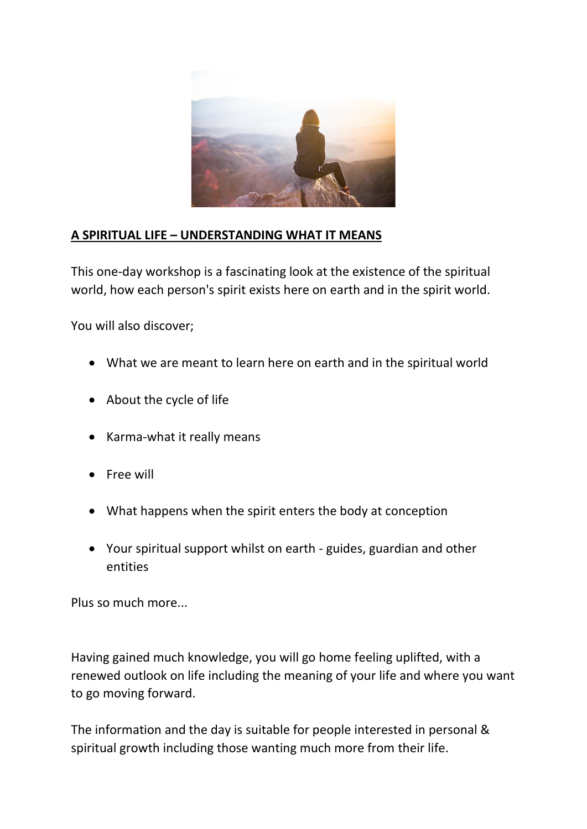

## **A SPIRITUAL LIFE – UNDERSTANDING WHAT IT MEANS**

This one-day workshop is a fascinating look at the existence of the spiritual world, how each person's spirit exists here on earth and in the spirit world.

You will also discover;

- What we are meant to learn here on earth and in the spiritual world
- About the cycle of life
- Karma-what it really means
- Free will
- What happens when the spirit enters the body at conception
- Your spiritual support whilst on earth guides, guardian and other entities

Plus so much more...

Having gained much knowledge, you will go home feeling uplifted, with a renewed outlook on life including the meaning of your life and where you want to go moving forward.

The information and the day is suitable for people interested in personal & spiritual growth including those wanting much more from their life.